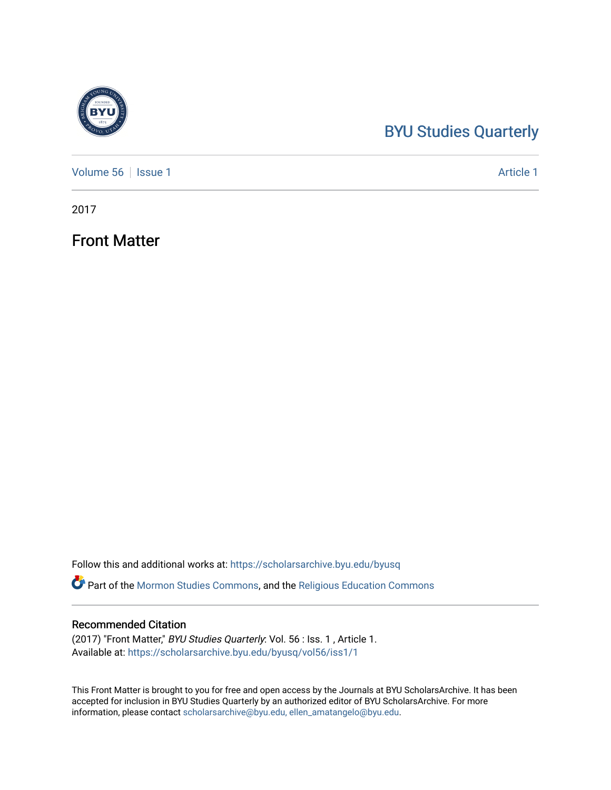# [BYU Studies Quarterly](https://scholarsarchive.byu.edu/byusq)

[Volume 56](https://scholarsarchive.byu.edu/byusq/vol56) | [Issue 1](https://scholarsarchive.byu.edu/byusq/vol56/iss1) Article 1

2017

Front Matter

Follow this and additional works at: [https://scholarsarchive.byu.edu/byusq](https://scholarsarchive.byu.edu/byusq?utm_source=scholarsarchive.byu.edu%2Fbyusq%2Fvol56%2Fiss1%2F1&utm_medium=PDF&utm_campaign=PDFCoverPages) 

Part of the [Mormon Studies Commons](http://network.bepress.com/hgg/discipline/1360?utm_source=scholarsarchive.byu.edu%2Fbyusq%2Fvol56%2Fiss1%2F1&utm_medium=PDF&utm_campaign=PDFCoverPages), and the [Religious Education Commons](http://network.bepress.com/hgg/discipline/1414?utm_source=scholarsarchive.byu.edu%2Fbyusq%2Fvol56%2Fiss1%2F1&utm_medium=PDF&utm_campaign=PDFCoverPages) 

# Recommended Citation

(2017) "Front Matter," BYU Studies Quarterly: Vol. 56 : Iss. 1 , Article 1. Available at: [https://scholarsarchive.byu.edu/byusq/vol56/iss1/1](https://scholarsarchive.byu.edu/byusq/vol56/iss1/1?utm_source=scholarsarchive.byu.edu%2Fbyusq%2Fvol56%2Fiss1%2F1&utm_medium=PDF&utm_campaign=PDFCoverPages)

This Front Matter is brought to you for free and open access by the Journals at BYU ScholarsArchive. It has been accepted for inclusion in BYU Studies Quarterly by an authorized editor of BYU ScholarsArchive. For more information, please contact [scholarsarchive@byu.edu, ellen\\_amatangelo@byu.edu.](mailto:scholarsarchive@byu.edu,%20ellen_amatangelo@byu.edu)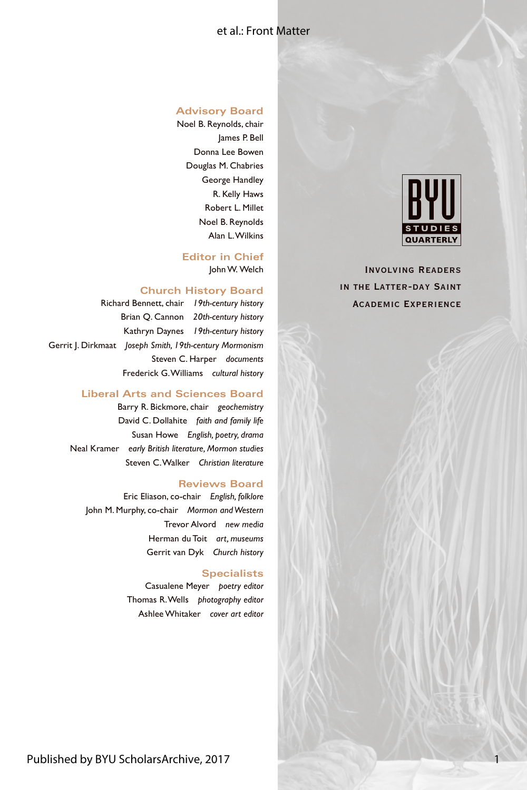## et al.: Front Matter

#### **Advisory Board**

Noel B. Reynolds, chair James P. Bell Donna Lee Bowen Douglas M. Chabries George Handley R. Kelly Haws Robert L. Millet Noel B. Reynolds Alan L. Wilkins

**Editor in Chief** John W. Welch

#### **Church History Board**

Richard Bennett, chair *19th-century history* Brian Q. Cannon *20th-century history* Kathryn Daynes *19th-century history* Gerrit J. Dirkmaat *Joseph Smith, 19th-century Mormonism* Steven C. Harper *documents* Frederick G. Williams *cultural history*

### **Liberal Arts and Sciences Board**

Barry R. Bickmore, chair *geochemistry* David C. Dollahite *faith and family life* Susan Howe *English, poetry, drama* Neal Kramer *early British literature, Mormon studies* Steven C. Walker *Christian literature*

#### **Reviews Board**

Eric Eliason, co-chair *English, folklore* John M. Murphy, co-chair *Mormon and Western* Trevor Alvord *new media* Herman du Toit *art, museums* Gerrit van Dyk *Church history*

#### **Specialists**

Casualene Meyer *poetry editor* Thomas R. Wells *photography editor* Ashlee Whitaker *cover art editor*



1

Involving Readers in the Latter-day Saint Academic Experience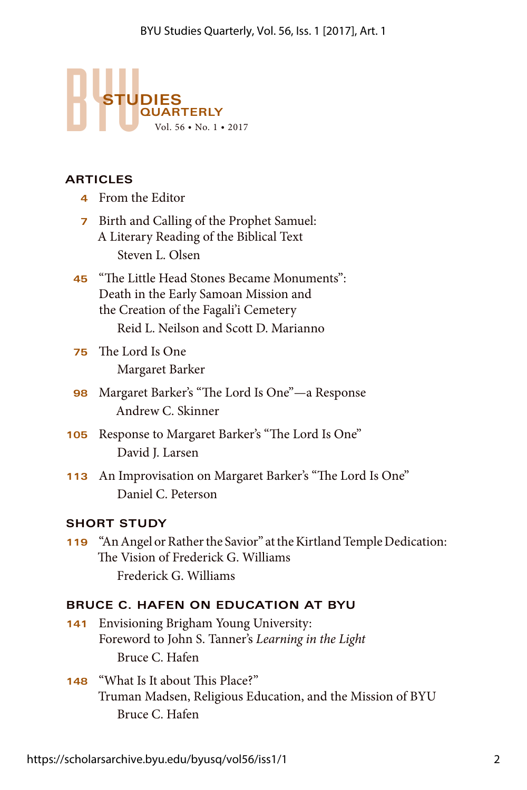

# **ARTICLES**

- **4** From the Editor
- **7** Birth and Calling of the Prophet Samuel: A Literary Reading of the Biblical Text Steven L. Olsen
- **45** "The Little Head Stones Became Monuments": Death in the Early Samoan Mission and the Creation of the Fagali'i Cemetery Reid L. Neilson and Scott D. Marianno
- **75** The Lord Is One Margaret Barker
- **98** Margaret Barker's "The Lord Is One"—a Response Andrew C. Skinner
- **105** Response to Margaret Barker's "The Lord Is One" David J. Larsen
- **113** An Improvisation on Margaret Barker's "The Lord Is One" Daniel C. Peterson

# **SHORT STUDY**

**119** "An Angel or Rather the Savior" at the Kirtland Temple Dedication: The Vision of Frederick G. Williams Frederick G. Williams

# **BRUCE C. HAFEN ON EDUCATION AT BYU**

- **141** Envisioning Brigham Young University: Foreword to John S. Tanner's *Learning in the Light* Bruce C. Hafen
- **148** "What Is It about This Place?" Truman Madsen, Religious Education, and the Mission of BYU Bruce C. Hafen